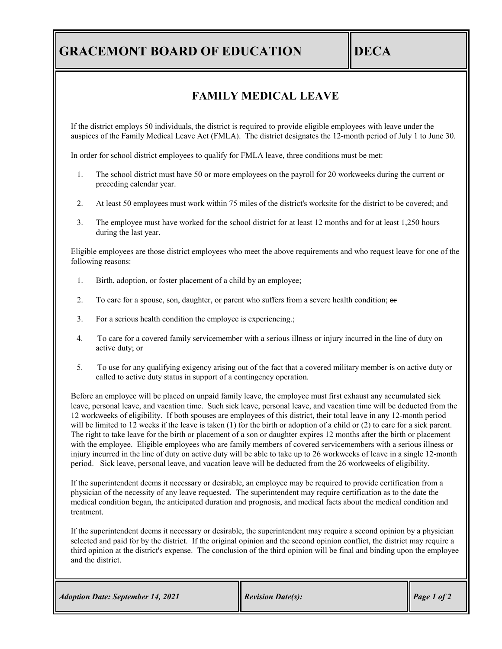# **GRACEMONT BOARD OF EDUCATION IDECA**

#### **FAMILY MEDICAL LEAVE**

If the district employs 50 individuals, the district is required to provide eligible employees with leave under the auspices of the Family Medical Leave Act (FMLA). The district designates the 12-month period of July 1 to June 30.

In order for school district employees to qualify for FMLA leave, three conditions must be met:

- 1. The school district must have 50 or more employees on the payroll for 20 workweeks during the current or preceding calendar year.
- 2. At least 50 employees must work within 75 miles of the district's worksite for the district to be covered; and
- 3. The employee must have worked for the school district for at least 12 months and for at least 1,250 hours during the last year.

Eligible employees are those district employees who meet the above requirements and who request leave for one of the following reasons:

- 1. Birth, adoption, or foster placement of a child by an employee;
- 2. To care for a spouse, son, daughter, or parent who suffers from a severe health condition;  $\Theta$
- 3. For a serious health condition the employee is experiencing.;
- 4. To care for a covered family servicemember with a serious illness or injury incurred in the line of duty on active duty; or
- 5. To use for any qualifying exigency arising out of the fact that a covered military member is on active duty or called to active duty status in support of a contingency operation.

Before an employee will be placed on unpaid family leave, the employee must first exhaust any accumulated sick leave, personal leave, and vacation time. Such sick leave, personal leave, and vacation time will be deducted from the 12 workweeks of eligibility. If both spouses are employees of this district, their total leave in any 12-month period will be limited to 12 weeks if the leave is taken (1) for the birth or adoption of a child or (2) to care for a sick parent. The right to take leave for the birth or placement of a son or daughter expires 12 months after the birth or placement with the employee. Eligible employees who are family members of covered servicemembers with a serious illness or injury incurred in the line of duty on active duty will be able to take up to 26 workweeks of leave in a single 12-month period. Sick leave, personal leave, and vacation leave will be deducted from the 26 workweeks of eligibility.

If the superintendent deems it necessary or desirable, an employee may be required to provide certification from a physician of the necessity of any leave requested. The superintendent may require certification as to the date the medical condition began, the anticipated duration and prognosis, and medical facts about the medical condition and treatment.

If the superintendent deems it necessary or desirable, the superintendent may require a second opinion by a physician selected and paid for by the district. If the original opinion and the second opinion conflict, the district may require a third opinion at the district's expense. The conclusion of the third opinion will be final and binding upon the employee and the district.